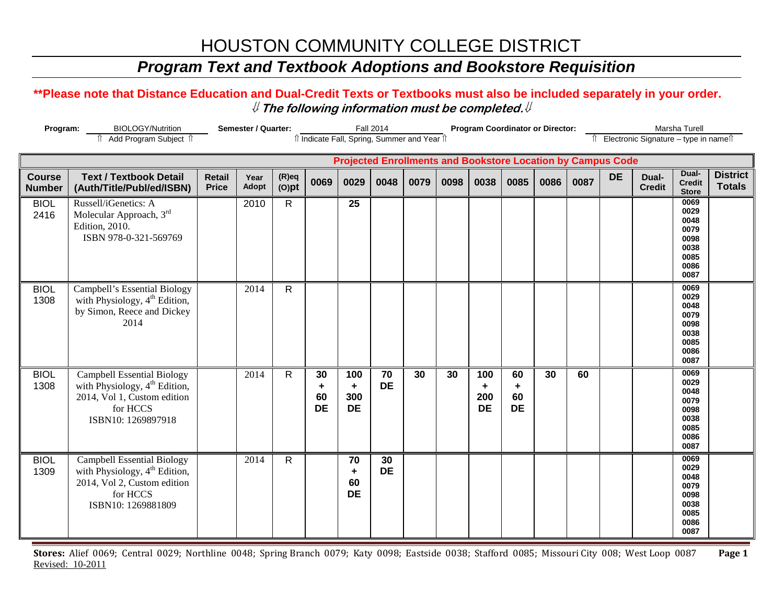### *Program Text and Textbook Adoptions and Bookstore Requisition*

#### **\*\*Please note that Distance Education and Dual-Credit Texts or Textbooks must also be included separately in your order.**  ⇓ **The following information must be completed.**⇓

| Program:                       | <b>BIOLOGY/Nutrition</b><br>î Add Program Subject î                                                                                             | Semester / Quarter:           |                      |                      |                            | <b>Fall 2014</b>                                | îl Indicate Fall, Spring, Summer and Year îl |      |      | <b>Program Coordinator or Director:</b> |                            |      |      | Îl Electronic Signature – type in nameîl                           | Marsha Turell          |                                                                      |                                  |
|--------------------------------|-------------------------------------------------------------------------------------------------------------------------------------------------|-------------------------------|----------------------|----------------------|----------------------------|-------------------------------------------------|----------------------------------------------|------|------|-----------------------------------------|----------------------------|------|------|--------------------------------------------------------------------|------------------------|----------------------------------------------------------------------|----------------------------------|
|                                |                                                                                                                                                 |                               |                      |                      |                            |                                                 |                                              |      |      |                                         |                            |      |      | <b>Projected Enrollments and Bookstore Location by Campus Code</b> |                        |                                                                      |                                  |
| <b>Course</b><br><b>Number</b> | <b>Text / Textbook Detail</b><br>(Auth/Title/Publ/ed/ISBN)                                                                                      | <b>Retail</b><br><b>Price</b> | Year<br><b>Adopt</b> | $(R)$ eq<br>$(O)$ pt | 0069                       | 0029                                            | 0048                                         | 0079 | 0098 | 0038                                    | 0085                       | 0086 | 0087 | <b>DE</b>                                                          | Dual-<br><b>Credit</b> | Dual-<br><b>Credit</b><br><b>Store</b>                               | <b>District</b><br><b>Totals</b> |
| <b>BIOL</b><br>2416            | Russell/iGenetics: A<br>Molecular Approach, 3rd<br><b>Edition</b> , 2010.<br>ISBN 978-0-321-569769                                              |                               | 2010                 | $\mathsf{R}$         |                            | $\overline{25}$                                 |                                              |      |      |                                         |                            |      |      |                                                                    |                        | 0069<br>0029<br>0048<br>0079<br>0098<br>0038<br>0085<br>0086<br>0087 |                                  |
| <b>BIOL</b><br>1308            | Campbell's Essential Biology<br>with Physiology, 4 <sup>th</sup> Edition,<br>by Simon, Reece and Dickey<br>2014                                 |                               | 2014                 | $\mathsf{R}$         |                            |                                                 |                                              |      |      |                                         |                            |      |      |                                                                    |                        | 0069<br>0029<br>0048<br>0079<br>0098<br>0038<br>0085<br>0086<br>0087 |                                  |
| <b>BIOL</b><br>1308            | <b>Campbell Essential Biology</b><br>with Physiology, 4 <sup>th</sup> Edition,<br>2014, Vol 1, Custom edition<br>for HCCS<br>ISBN10: 1269897918 |                               | 2014                 | $\mathsf{R}$         | 30<br>٠<br>60<br><b>DE</b> | 100<br>$\ddot{\phantom{1}}$<br>300<br><b>DE</b> | 70<br><b>DE</b>                              | 30   | 30   | 100<br>٠<br>200<br><b>DE</b>            | 60<br>٠<br>60<br><b>DE</b> | 30   | 60   |                                                                    |                        | 0069<br>0029<br>0048<br>0079<br>0098<br>0038<br>0085<br>0086<br>0087 |                                  |
| <b>BIOL</b><br>1309            | <b>Campbell Essential Biology</b><br>with Physiology, 4 <sup>th</sup> Edition,<br>2014, Vol 2, Custom edition<br>for HCCS<br>ISBN10: 1269881809 |                               | 2014                 | R                    |                            | 70<br>$\ddot{\phantom{1}}$<br>60<br><b>DE</b>   | 30<br><b>DE</b>                              |      |      |                                         |                            |      |      |                                                                    |                        | 0069<br>0029<br>0048<br>0079<br>0098<br>0038<br>0085<br>0086<br>0087 |                                  |

**Stores:** Alief 0069; Central 0029; Northline 0048; Spring Branch 0079; Katy 0098; Eastside 0038; Stafford 0085; Missouri City 008; West Loop 0087 **Page 1** Revised: 10-2011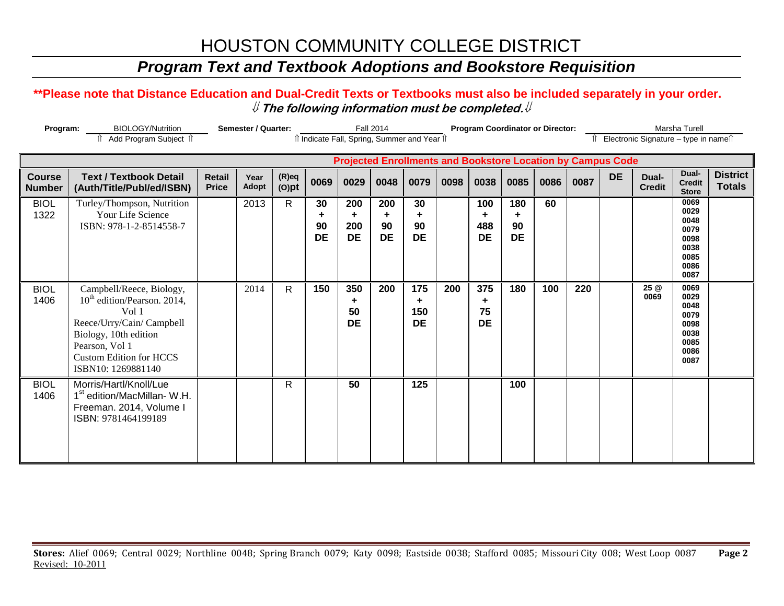### *Program Text and Textbook Adoptions and Bookstore Requisition*

#### **\*\*Please note that Distance Education and Dual-Credit Texts or Textbooks must also be included separately in your order.**  ⇓ **The following information must be completed.**⇓

| Program:                       | <b>BIOLOGY/Nutrition</b><br>î Add Program Subject î                                                                                                                                                          |                               | <b>Semester / Quarter:</b> |                      |                       | îl Indicate Fall, Spring, Summer and Year îl                       | <b>Fall 2014</b>            |                              |      | <b>Program Coordinator or Director:</b> |                             |      |      |           | Îl Electronic Signature - type in nameîl | Marsha Turell                                                        |                                  |
|--------------------------------|--------------------------------------------------------------------------------------------------------------------------------------------------------------------------------------------------------------|-------------------------------|----------------------------|----------------------|-----------------------|--------------------------------------------------------------------|-----------------------------|------------------------------|------|-----------------------------------------|-----------------------------|------|------|-----------|------------------------------------------|----------------------------------------------------------------------|----------------------------------|
|                                |                                                                                                                                                                                                              |                               |                            |                      |                       | <b>Projected Enrollments and Bookstore Location by Campus Code</b> |                             |                              |      |                                         |                             |      |      |           |                                          |                                                                      |                                  |
| <b>Course</b><br><b>Number</b> | <b>Text / Textbook Detail</b><br>(Auth/Title/Publ/ed/ISBN)                                                                                                                                                   | <b>Retail</b><br><b>Price</b> | Year<br><b>Adopt</b>       | $(R)$ eq<br>$(O)$ pt | 0069                  | 0029                                                               | 0048                        | 0079                         | 0098 | 0038                                    | 0085                        | 0086 | 0087 | <b>DE</b> | Dual-<br><b>Credit</b>                   | Dual-<br><b>Credit</b><br><b>Store</b>                               | <b>District</b><br><b>Totals</b> |
| <b>BIOL</b><br>1322            | Turley/Thompson, Nutrition<br>Your Life Science<br>ISBN: 978-1-2-8514558-7                                                                                                                                   |                               | 2013                       | $\mathsf{R}$         | 30<br>90<br><b>DE</b> | 200<br>÷.<br>200<br><b>DE</b>                                      | 200<br>÷<br>90<br><b>DE</b> | 30<br>٠<br>90<br><b>DE</b>   |      | 100<br>٠<br>488<br><b>DE</b>            | 180<br>÷<br>90<br><b>DE</b> | 60   |      |           |                                          | 0069<br>0029<br>0048<br>0079<br>0098<br>0038<br>0085<br>0086<br>0087 |                                  |
| <b>BIOL</b><br>1406            | Campbell/Reece, Biology,<br>10 <sup>th</sup> edition/Pearson. 2014,<br>Vol 1<br>Reece/Urry/Cain/ Campbell<br>Biology, 10th edition<br>Pearson, Vol 1<br><b>Custom Edition for HCCS</b><br>ISBN10: 1269881140 |                               | 2014                       | $\mathsf{R}$         | 150                   | 350<br>÷.<br>50<br><b>DE</b>                                       | 200                         | 175<br>÷<br>150<br><b>DE</b> | 200  | 375<br>٠<br>75<br><b>DE</b>             | 180                         | 100  | 220  |           | 25 @<br>0069                             | 0069<br>0029<br>0048<br>0079<br>0098<br>0038<br>0085<br>0086<br>0087 |                                  |
| <b>BIOL</b><br>1406            | Morris/Hartl/Knoll/Lue<br>1 <sup>st</sup> edition/MacMillan-W.H.<br>Freeman. 2014, Volume I<br>ISBN: 9781464199189                                                                                           |                               |                            | R                    |                       | 50                                                                 |                             | 125                          |      |                                         | 100                         |      |      |           |                                          |                                                                      |                                  |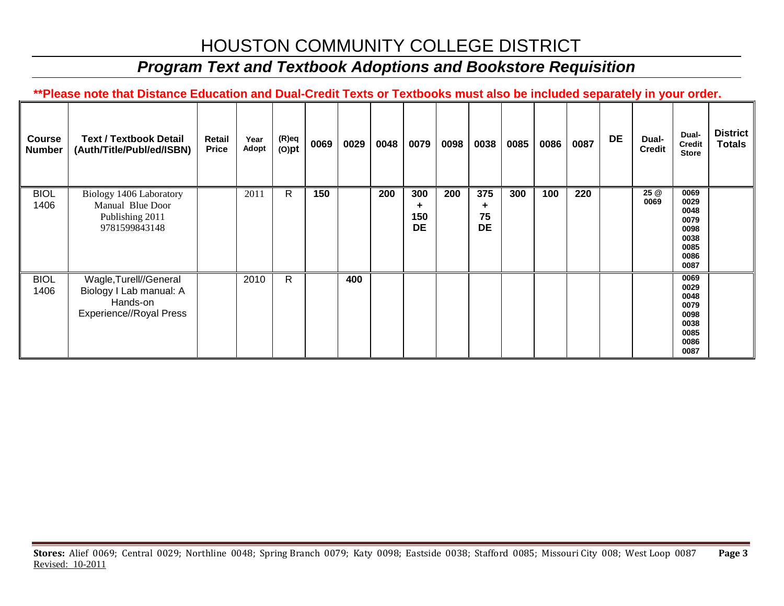## *Program Text and Textbook Adoptions and Bookstore Requisition*

**\*\*Please note that Distance Education and Dual-Credit Texts or Textbooks must also be included separately in your order.** 

| <b>Course</b><br><b>Number</b> | <b>Text / Textbook Detail</b><br>(Auth/Title/Publ/ed/ISBN)                               | Retail<br><b>Price</b> | Year<br>Adopt | (R)eq<br>$(O)$ pt | 0069 | 0029 | 0048 | 0079                         | 0098 | 0038                   | 0085 | 0086 | 0087 | <b>DE</b> | Dual-<br><b>Credit</b> | Dual-<br><b>Credit</b><br><b>Store</b>                               | <b>District</b><br><b>Totals</b> |
|--------------------------------|------------------------------------------------------------------------------------------|------------------------|---------------|-------------------|------|------|------|------------------------------|------|------------------------|------|------|------|-----------|------------------------|----------------------------------------------------------------------|----------------------------------|
| <b>BIOL</b><br>1406            | Biology 1406 Laboratory<br>Manual Blue Door<br>Publishing 2011<br>9781599843148          |                        | 2011          | R                 | 150  |      | 200  | 300<br>٠<br>150<br><b>DE</b> | 200  | 375<br>75<br><b>DE</b> | 300  | 100  | 220  |           | 25 @<br>0069           | 0069<br>0029<br>0048<br>0079<br>0098<br>0038<br>0085<br>0086<br>0087 |                                  |
| <b>BIOL</b><br>1406            | Wagle, Turell//General<br>Biology I Lab manual: A<br>Hands-on<br>Experience//Royal Press |                        | 2010          | R                 |      | 400  |      |                              |      |                        |      |      |      |           |                        | 0069<br>0029<br>0048<br>0079<br>0098<br>0038<br>0085<br>0086<br>0087 |                                  |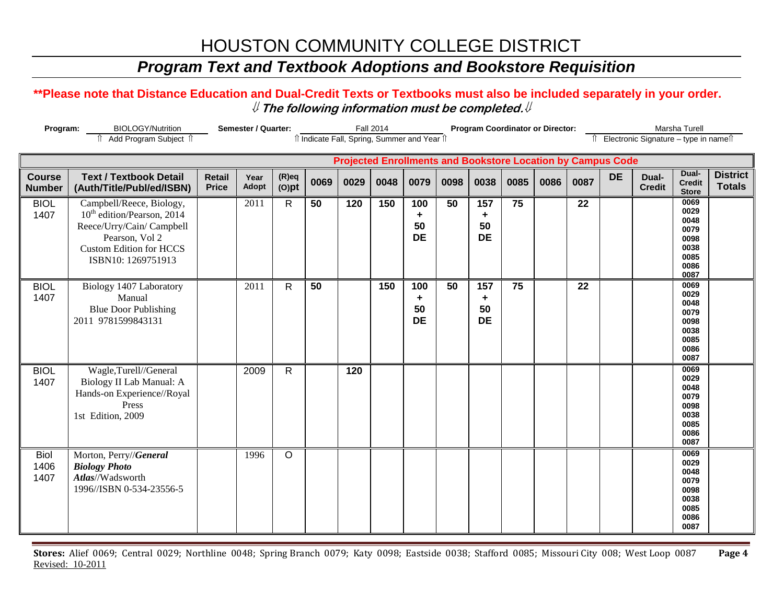### *Program Text and Textbook Adoptions and Bookstore Requisition*

#### **\*\*Please note that Distance Education and Dual-Credit Texts or Textbooks must also be included separately in your order.**  ⇓ **The following information must be completed.**⇓

| Program:                       | <b>BIOLOGY/Nutrition</b>                                                                                                                                                  | Semester / Quarter:                                                                                                                                            |                      |                      | <b>Fall 2014</b> |                |      |                                                | <b>Program Coordinator or Director:</b> |                             |      |      |      | Marsha Turell |                        |                                                                      |                                  |
|--------------------------------|---------------------------------------------------------------------------------------------------------------------------------------------------------------------------|----------------------------------------------------------------------------------------------------------------------------------------------------------------|----------------------|----------------------|------------------|----------------|------|------------------------------------------------|-----------------------------------------|-----------------------------|------|------|------|---------------|------------------------|----------------------------------------------------------------------|----------------------------------|
|                                | n Add Program Subject n                                                                                                                                                   | Îl Electronic Signature - type in nameîl<br>îl Indicate Fall, Spring, Summer and Year îl<br><b>Projected Enrollments and Bookstore Location by Campus Code</b> |                      |                      |                  |                |      |                                                |                                         |                             |      |      |      |               |                        |                                                                      |                                  |
|                                |                                                                                                                                                                           |                                                                                                                                                                |                      |                      |                  |                |      |                                                |                                         |                             |      |      |      |               |                        |                                                                      |                                  |
| <b>Course</b><br><b>Number</b> | <b>Text / Textbook Detail</b><br>(Auth/Title/Publ/ed/ISBN)                                                                                                                | <b>Retail</b><br><b>Price</b>                                                                                                                                  | Year<br><b>Adopt</b> | $(R)$ eq<br>$(O)$ pt | 0069             | 0029           | 0048 | 0079                                           | 0098                                    | 0038                        | 0085 | 0086 | 0087 | <b>DE</b>     | Dual-<br><b>Credit</b> | Dual-<br><b>Credit</b><br><b>Store</b>                               | <b>District</b><br><b>Totals</b> |
| <b>BIOL</b><br>1407            | Campbell/Reece, Biology,<br>10 <sup>th</sup> edition/Pearson, 2014<br>Reece/Urry/Cain/ Campbell<br>Pearson, Vol 2<br><b>Custom Edition for HCCS</b><br>ISBN10: 1269751913 |                                                                                                                                                                | 2011                 | $\mathsf{R}$         | 50               | 120            | 150  | 100<br>$\ddot{\phantom{1}}$<br>50<br><b>DE</b> | 50                                      | 157<br>÷<br>50<br><b>DE</b> | 75   |      | 22   |               |                        | 0069<br>0029<br>0048<br>0079<br>0098<br>0038<br>0085<br>0086<br>0087 |                                  |
| <b>BIOL</b><br>1407            | Biology 1407 Laboratory<br>Manual<br><b>Blue Door Publishing</b><br>2011 9781599843131                                                                                    |                                                                                                                                                                | 2011                 | $\mathsf{R}$         | 50               |                | 150  | 100<br>÷<br>50<br><b>DE</b>                    | $\overline{50}$                         | 157<br>٠<br>50<br><b>DE</b> | 75   |      | 22   |               |                        | 0069<br>0029<br>0048<br>0079<br>0098<br>0038<br>0085<br>0086<br>0087 |                                  |
| <b>BIOL</b><br>1407            | Wagle,Turell//General<br>Biology II Lab Manual: A<br>Hands-on Experience//Royal<br>Press<br>1st Edition, 2009                                                             |                                                                                                                                                                | 2009                 | $\mathsf{R}$         |                  | $\frac{1}{20}$ |      |                                                |                                         |                             |      |      |      |               |                        | 0069<br>0029<br>0048<br>0079<br>0098<br>0038<br>0085<br>0086<br>0087 |                                  |
| <b>Biol</b><br>1406<br>1407    | Morton, Perry//General<br><b>Biology Photo</b><br>Atlas//Wadsworth<br>1996//ISBN 0-534-23556-5                                                                            |                                                                                                                                                                | 1996                 | O                    |                  |                |      |                                                |                                         |                             |      |      |      |               |                        | 0069<br>0029<br>0048<br>0079<br>0098<br>0038<br>0085<br>0086<br>0087 |                                  |

**Stores:** Alief 0069; Central 0029; Northline 0048; Spring Branch 0079; Katy 0098; Eastside 0038; Stafford 0085; Missouri City 008; West Loop 0087 **Page 4** Revised: 10-2011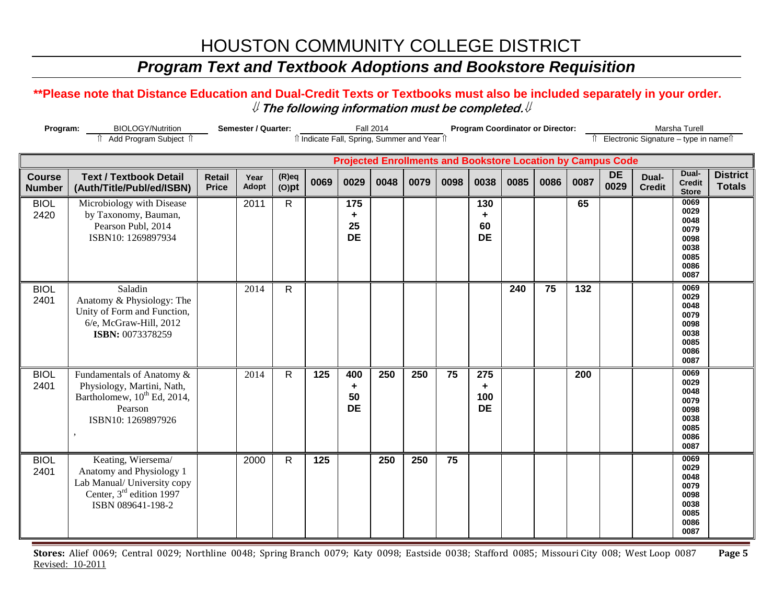### *Program Text and Textbook Adoptions and Bookstore Requisition*

#### **\*\*Please note that Distance Education and Dual-Credit Texts or Textbooks must also be included separately in your order.**  ⇓ **The following information must be completed.**⇓

| Program:                       | <b>BIOLOGY/Nutrition</b><br>î Add Program Subject î                                                                                        |                               | Semester / Quarter: |                      |      |                             | <b>Fall 2014</b> | îl Indicate Fall, Spring, Summer and Year îl |      |                              | <b>Program Coordinator or Director:</b> |      |      |                                                                    | Îl Electronic Signature - type in nameîl | Marsha Turell                                                        |                                  |
|--------------------------------|--------------------------------------------------------------------------------------------------------------------------------------------|-------------------------------|---------------------|----------------------|------|-----------------------------|------------------|----------------------------------------------|------|------------------------------|-----------------------------------------|------|------|--------------------------------------------------------------------|------------------------------------------|----------------------------------------------------------------------|----------------------------------|
|                                |                                                                                                                                            |                               |                     |                      |      |                             |                  |                                              |      |                              |                                         |      |      | <b>Projected Enrollments and Bookstore Location by Campus Code</b> |                                          |                                                                      |                                  |
| <b>Course</b><br><b>Number</b> | <b>Text / Textbook Detail</b><br>(Auth/Title/Publ/ed/ISBN)                                                                                 | <b>Retail</b><br><b>Price</b> | Year<br>Adopt       | $(R)$ eq<br>$(O)$ pt | 0069 | 0029                        | 0048             | 0079                                         | 0098 | 0038                         | 0085                                    | 0086 | 0087 | <b>DE</b><br>0029                                                  | Dual-<br><b>Credit</b>                   | Dual-<br><b>Credit</b><br><b>Store</b>                               | <b>District</b><br><b>Totals</b> |
| <b>BIOL</b><br>2420            | Microbiology with Disease<br>by Taxonomy, Bauman,<br>Pearson Publ, 2014<br>ISBN10: 1269897934                                              |                               | 2011                | $\mathsf{R}$         |      | 175<br>٠<br>25<br><b>DE</b> |                  |                                              |      | 130<br>٠<br>60<br><b>DE</b>  |                                         |      | 65   |                                                                    |                                          | 0069<br>0029<br>0048<br>0079<br>0098<br>0038<br>0085<br>0086<br>0087 |                                  |
| <b>BIOL</b><br>2401            | Saladin<br>Anatomy & Physiology: The<br>Unity of Form and Function,<br>6/e, McGraw-Hill, 2012<br>ISBN: 0073378259                          |                               | 2014                | $\mathsf{R}$         |      |                             |                  |                                              |      |                              | 240                                     | 75   | 132  |                                                                    |                                          | 0069<br>0029<br>0048<br>0079<br>0098<br>0038<br>0085<br>0086<br>0087 |                                  |
| <b>BIOL</b><br>2401            | Fundamentals of Anatomy &<br>Physiology, Martini, Nath,<br>Bartholomew, 10 <sup>th</sup> Ed, 2014,<br>Pearson<br>ISBN10: 1269897926        |                               | 2014                | $\mathsf{R}$         | 125  | 400<br>٠<br>50<br><b>DE</b> | 250              | 250                                          | 75   | 275<br>٠<br>100<br><b>DE</b> |                                         |      | 200  |                                                                    |                                          | 0069<br>0029<br>0048<br>0079<br>0098<br>0038<br>0085<br>0086<br>0087 |                                  |
| <b>BIOL</b><br>2401            | Keating, Wiersema/<br>Anatomy and Physiology 1<br>Lab Manual/ University copy<br>Center, 3 <sup>rd</sup> edition 1997<br>ISBN 089641-198-2 |                               | 2000                | $\mathsf{R}$         | 125  |                             | 250              | 250                                          | 75   |                              |                                         |      |      |                                                                    |                                          | 0069<br>0029<br>0048<br>0079<br>0098<br>0038<br>0085<br>0086<br>0087 |                                  |

**Stores:** Alief 0069; Central 0029; Northline 0048; Spring Branch 0079; Katy 0098; Eastside 0038; Stafford 0085; Missouri City 008; West Loop 0087 **Page 5** Revised: 10-2011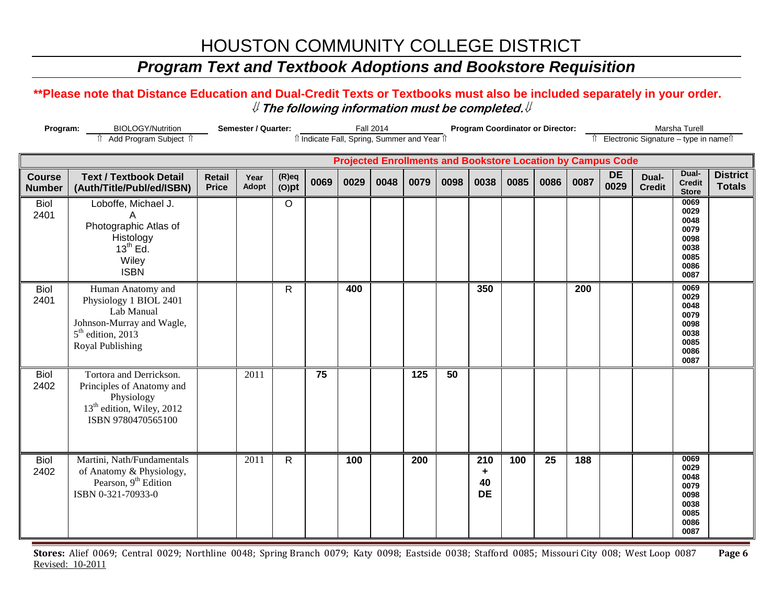### *Program Text and Textbook Adoptions and Bookstore Requisition*

#### **\*\*Please note that Distance Education and Dual-Credit Texts or Textbooks must also be included separately in your order.**  ⇓ **The following information must be completed.**⇓

| Program:                       | <b>BIOLOGY/Nutrition</b><br>Add Program Subject 1                                                                                 |                               | Semester / Quarter: |                      |      |      | <b>Fall 2014</b> | Il Indicate Fall, Spring, Summer and Year Il |      |                             | <b>Program Coordinator or Director:</b> |      |      |                                                                    | Îl Electronic Signature - type in nameîl | Marsha Turell                                                        |                                  |
|--------------------------------|-----------------------------------------------------------------------------------------------------------------------------------|-------------------------------|---------------------|----------------------|------|------|------------------|----------------------------------------------|------|-----------------------------|-----------------------------------------|------|------|--------------------------------------------------------------------|------------------------------------------|----------------------------------------------------------------------|----------------------------------|
|                                |                                                                                                                                   |                               |                     |                      |      |      |                  |                                              |      |                             |                                         |      |      | <b>Projected Enrollments and Bookstore Location by Campus Code</b> |                                          |                                                                      |                                  |
| <b>Course</b><br><b>Number</b> | <b>Text / Textbook Detail</b><br>(Auth/Title/Publ/ed/ISBN)                                                                        | <b>Retail</b><br><b>Price</b> | Year<br>Adopt       | $(R)$ eq<br>$(O)$ pt | 0069 | 0029 | 0048             | 0079                                         | 0098 | 0038                        | 0085                                    | 0086 | 0087 | <b>DE</b><br>0029                                                  | Dual-<br><b>Credit</b>                   | Dual-<br><b>Credit</b><br><b>Store</b>                               | <b>District</b><br><b>Totals</b> |
| <b>Biol</b><br>2401            | Loboffe, Michael J.<br>A<br>Photographic Atlas of<br>Histology<br>$13^{th}$ Ed.<br>Wiley<br><b>ISBN</b>                           |                               |                     | $\circ$              |      |      |                  |                                              |      |                             |                                         |      |      |                                                                    |                                          | 0069<br>0029<br>0048<br>0079<br>0098<br>0038<br>0085<br>0086<br>0087 |                                  |
| <b>Biol</b><br>2401            | Human Anatomy and<br>Physiology 1 BIOL 2401<br>Lab Manual<br>Johnson-Murray and Wagle,<br>$5th$ edition, 2013<br>Royal Publishing |                               |                     | R                    |      | 400  |                  |                                              |      | 350                         |                                         |      | 200  |                                                                    |                                          | 0069<br>0029<br>0048<br>0079<br>0098<br>0038<br>0085<br>0086<br>0087 |                                  |
| <b>Biol</b><br>2402            | Tortora and Derrickson.<br>Principles of Anatomy and<br>Physiology<br>13 <sup>th</sup> edition, Wiley, 2012<br>ISBN 9780470565100 |                               | 2011                |                      | 75   |      |                  | 125                                          | 50   |                             |                                         |      |      |                                                                    |                                          |                                                                      |                                  |
| <b>Biol</b><br>2402            | Martini, Nath/Fundamentals<br>of Anatomy & Physiology,<br>Pearson, 9 <sup>th</sup> Edition<br>ISBN 0-321-70933-0                  |                               | 2011                | $\mathsf{R}$         |      | 100  |                  | 200                                          |      | 210<br>٠<br>40<br><b>DE</b> | 100                                     | 25   | 188  |                                                                    |                                          | 0069<br>0029<br>0048<br>0079<br>0098<br>0038<br>0085<br>0086<br>0087 |                                  |

**Stores:** Alief 0069; Central 0029; Northline 0048; Spring Branch 0079; Katy 0098; Eastside 0038; Stafford 0085; Missouri City 008; West Loop 0087 **Page 6** Revised: 10-2011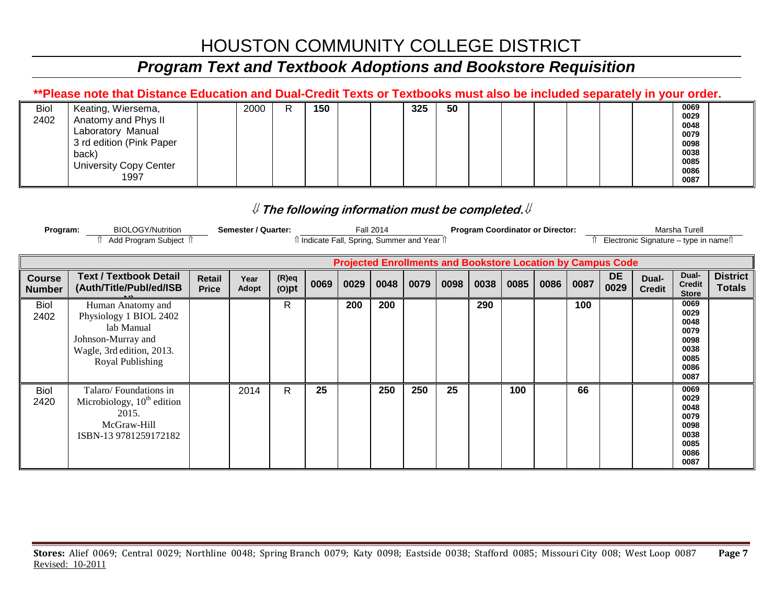## *Program Text and Textbook Adoptions and Bookstore Requisition*

#### **\*\*Please note that Distance Education and Dual-Credit Texts or Textbooks must also be included separately in your order.**

| <b>Biol</b> | Keating, Wiersema,            | 2000 | R | 150 | 325 | 50 |  |  |  | 0069 |  |
|-------------|-------------------------------|------|---|-----|-----|----|--|--|--|------|--|
| 2402        | Anatomy and Phys II           |      |   |     |     |    |  |  |  | 0029 |  |
|             |                               |      |   |     |     |    |  |  |  | 0048 |  |
|             | Laboratory Manual             |      |   |     |     |    |  |  |  | 0079 |  |
|             | 3 rd edition (Pink Paper      |      |   |     |     |    |  |  |  | 0098 |  |
|             | back)                         |      |   |     |     |    |  |  |  | 0038 |  |
|             | <b>University Copy Center</b> |      |   |     |     |    |  |  |  | 0085 |  |
|             |                               |      |   |     |     |    |  |  |  | 0086 |  |
|             | 1997                          |      |   |     |     |    |  |  |  | 0087 |  |
|             |                               |      |   |     |     |    |  |  |  |      |  |

#### ⇓ **The following information must be completed.**⇓

| Program:                       | <b>BIOLOGY/Nutrition</b>                                                                                                                                                           |                        | Semester / Quarter: |                      |      |      | <b>Fall 2014</b> |      |      | <b>Program Coordinator or Director:</b> |      |      |      |                   |                        | Marsha Turell                                                        |                                  |
|--------------------------------|------------------------------------------------------------------------------------------------------------------------------------------------------------------------------------|------------------------|---------------------|----------------------|------|------|------------------|------|------|-----------------------------------------|------|------|------|-------------------|------------------------|----------------------------------------------------------------------|----------------------------------|
|                                | Add Program Subject 1<br>Electronic Signature - type in namell<br>î Indicate Fall, Spring, Summer and Year î<br><b>Projected Enrollments and Bookstore Location by Campus Code</b> |                        |                     |                      |      |      |                  |      |      |                                         |      |      |      |                   |                        |                                                                      |                                  |
|                                |                                                                                                                                                                                    |                        |                     |                      |      |      |                  |      |      |                                         |      |      |      |                   |                        |                                                                      |                                  |
| <b>Course</b><br><b>Number</b> | <b>Text / Textbook Detail</b><br>(Auth/Title/Publ/ed/ISB                                                                                                                           | Retail<br><b>Price</b> | Year<br>Adopt       | $(R)$ eq<br>$(O)$ pt | 0069 | 0029 | 0048             | 0079 | 0098 | 0038                                    | 0085 | 0086 | 0087 | <b>DE</b><br>0029 | Dual-<br><b>Credit</b> | Dual-<br><b>Credit</b><br><b>Store</b>                               | <b>District</b><br><b>Totals</b> |
| Biol<br>2402                   | Human Anatomy and<br>Physiology 1 BIOL 2402<br>lab Manual<br>Johnson-Murray and<br>Wagle, 3rd edition, 2013.<br>Royal Publishing                                                   |                        |                     | R                    |      | 200  | 200              |      |      | 290                                     |      |      | 100  |                   |                        | 0069<br>0029<br>0048<br>0079<br>0098<br>0038<br>0085<br>0086<br>0087 |                                  |
| <b>Biol</b><br>2420            | Talaro/Foundations in<br>Microbiology, $10th$ edition<br>2015.<br>McGraw-Hill<br>ISBN-139781259172182                                                                              |                        | 2014                | R                    | 25   |      | 250              | 250  | 25   |                                         | 100  |      | 66   |                   |                        | 0069<br>0029<br>0048<br>0079<br>0098<br>0038<br>0085<br>0086<br>0087 |                                  |